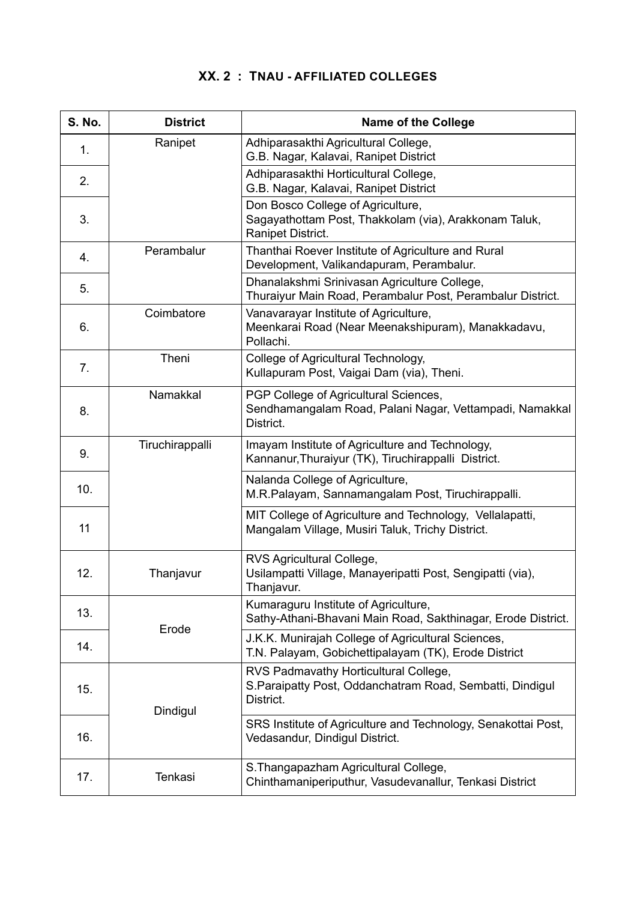## **XX. 2 : TNAU - AFFILIATED COLLEGES**

| <b>S. No.</b> | <b>District</b> | <b>Name of the College</b>                                                                                      |
|---------------|-----------------|-----------------------------------------------------------------------------------------------------------------|
| 1.            | Ranipet         | Adhiparasakthi Agricultural College,<br>G.B. Nagar, Kalavai, Ranipet District                                   |
| 2.            |                 | Adhiparasakthi Horticultural College,<br>G.B. Nagar, Kalavai, Ranipet District                                  |
| 3.            |                 | Don Bosco College of Agriculture,<br>Sagayathottam Post, Thakkolam (via), Arakkonam Taluk,<br>Ranipet District. |
| 4.            | Perambalur      | Thanthai Roever Institute of Agriculture and Rural<br>Development, Valikandapuram, Perambalur.                  |
| 5.            |                 | Dhanalakshmi Srinivasan Agriculture College,<br>Thuraiyur Main Road, Perambalur Post, Perambalur District.      |
| 6.            | Coimbatore      | Vanavarayar Institute of Agriculture,<br>Meenkarai Road (Near Meenakshipuram), Manakkadavu,<br>Pollachi.        |
| 7.            | Theni           | College of Agricultural Technology,<br>Kullapuram Post, Vaigai Dam (via), Theni.                                |
| 8.            | Namakkal        | PGP College of Agricultural Sciences,<br>Sendhamangalam Road, Palani Nagar, Vettampadi, Namakkal<br>District.   |
| 9.            | Tiruchirappalli | Imayam Institute of Agriculture and Technology,<br>Kannanur, Thuraiyur (TK), Tiruchirappalli District.          |
| 10.           |                 | Nalanda College of Agriculture,<br>M.R.Palayam, Sannamangalam Post, Tiruchirappalli.                            |
| 11            |                 | MIT College of Agriculture and Technology, Vellalapatti,<br>Mangalam Village, Musiri Taluk, Trichy District.    |
| 12.           | Thanjavur       | RVS Agricultural College,<br>Usilampatti Village, Manayeripatti Post, Sengipatti (via),<br>Thanjavur.           |
| 13.           | Erode           | Kumaraguru Institute of Agriculture,<br>Sathy-Athani-Bhavani Main Road, Sakthinagar, Erode District.            |
| 14.           |                 | J.K.K. Munirajah College of Agricultural Sciences,<br>T.N. Palayam, Gobichettipalayam (TK), Erode District      |
| 15.           | Dindigul        | RVS Padmavathy Horticultural College,<br>S.Paraipatty Post, Oddanchatram Road, Sembatti, Dindigul<br>District.  |
| 16.           |                 | SRS Institute of Agriculture and Technology, Senakottai Post,<br>Vedasandur, Dindigul District.                 |
| 17.           | Tenkasi         | S. Thangapazham Agricultural College,<br>Chinthamaniperiputhur, Vasudevanallur, Tenkasi District                |